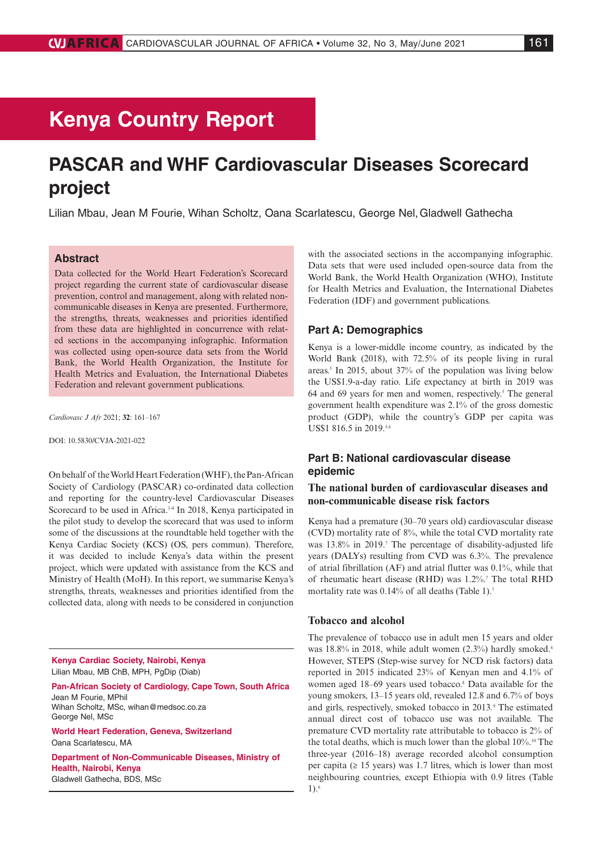# **Kenya Country Report**

# **PASCAR and WHF Cardiovascular Diseases Scorecard project**

Lilian Mbau, Jean M Fourie, Wihan Scholtz, Oana Scarlatescu, George Nel,Gladwell Gathecha

## **Abstract**

Data collected for the World Heart Federation's Scorecard project regarding the current state of cardiovascular disease prevention, control and management, along with related noncommunicable diseases in Kenya are presented. Furthermore, the strengths, threats, weaknesses and priorities identified from these data are highlighted in concurrence with related sections in the accompanying infographic. Information was collected using open-source data sets from the World Bank, the World Health Organization, the Institute for Health Metrics and Evaluation, the International Diabetes Federation and relevant government publications.

*Cardiovasc J Afr* 2021; **32**: 161–167

DOI: 10.5830/CVJA-2021-022

On behalf of the World Heart Federation (WHF), the Pan-African Society of Cardiology (PASCAR) co-ordinated data collection and reporting for the country-level Cardiovascular Diseases Scorecard to be used in Africa.<sup>14</sup> In 2018, Kenya participated in the pilot study to develop the scorecard that was used to inform some of the discussions at the roundtable held together with the Kenya Cardiac Society (KCS) (OS, pers commun). Therefore, it was decided to include Kenya's data within the present project, which were updated with assistance from the KCS and Ministry of Health (MoH). In this report, we summarise Kenya's strengths, threats, weaknesses and priorities identified from the collected data, along with needs to be considered in conjunction

**Kenya Cardiac Society, Nairobi, Kenya** Lilian Mbau, MB ChB, MPH, PgDip (Diab)

**Pan-African Society of Cardiology, Cape Town, South Africa** Jean M Fourie, MPhil Wihan Scholtz, MSc, [wihan@medsoc.co.za](mailto:wihan@medsoc.co.za) George Nel, MSc

**World Heart Federation, Geneva, Switzerland** Oana Scarlatescu, MA

**Department of Non-Communicable Diseases, Ministry of Health, Nairobi, Kenya** Gladwell Gathecha, BDS, MSc

with the associated sections in the accompanying infographic. Data sets that were used included open-source data from the World Bank, the World Health Organization (WHO), Institute for Health Metrics and Evaluation, the International Diabetes Federation (IDF) and government publications.

#### **Part A: Demographics**

Kenya is a lower-middle income country, as indicated by the World Bank (2018), with 72.5% of its people living in rural areas.5 In 2015, about 37% of the population was living below the US\$1.9-a-day ratio. Life expectancy at birth in 2019 was  $64$  and  $69$  years for men and women, respectively.<sup>5</sup> The general government health expenditure was 2.1% of the gross domestic product (GDP), while the country's GDP per capita was US\$1 816.5 in 2019.5,6

## **Part B: National cardiovascular disease epidemic**

## **The national burden of cardiovascular diseases and non-communicable disease risk factors**

Kenya had a premature (30–70 years old) cardiovascular disease (CVD) mortality rate of 8%, while the total CVD mortality rate was 13.8% in 2019.<sup>7</sup> The percentage of disability-adjusted life years (DALYs) resulting from CVD was 6.3%. The prevalence of atrial fibrillation (AF) and atrial flutter was 0.1%, while that of rheumatic heart disease (RHD) was 1.2%.<sup>7</sup> The total RHD mortality rate was 0.14% of all deaths (Table 1).<sup>7</sup>

#### **Tobacco and alcohol**

The prevalence of tobacco use in adult men 15 years and older was  $18.8\%$  in 2018, while adult women  $(2.3\%)$  hardly smoked.<sup>6</sup> However, STEPS (Step-wise survey for NCD risk factors) data reported in 2015 indicated 23% of Kenyan men and 4.1% of women aged 18–69 years used tobacco.<sup>8</sup> Data available for the young smokers, 13–15 years old, revealed 12.8 and 6.7% of boys and girls, respectively, smoked tobacco in 2013*.* <sup>9</sup> The estimated annual direct cost of tobacco use was not available. The premature CVD mortality rate attributable to tobacco is 2% of the total deaths, which is much lower than the global 10%.10 The three-year (2016–18) average recorded alcohol consumption per capita ( $\geq 15$  years) was 1.7 litres, which is lower than most neighbouring countries, except Ethiopia with 0.9 litres (Table  $1$ ).<sup>6</sup>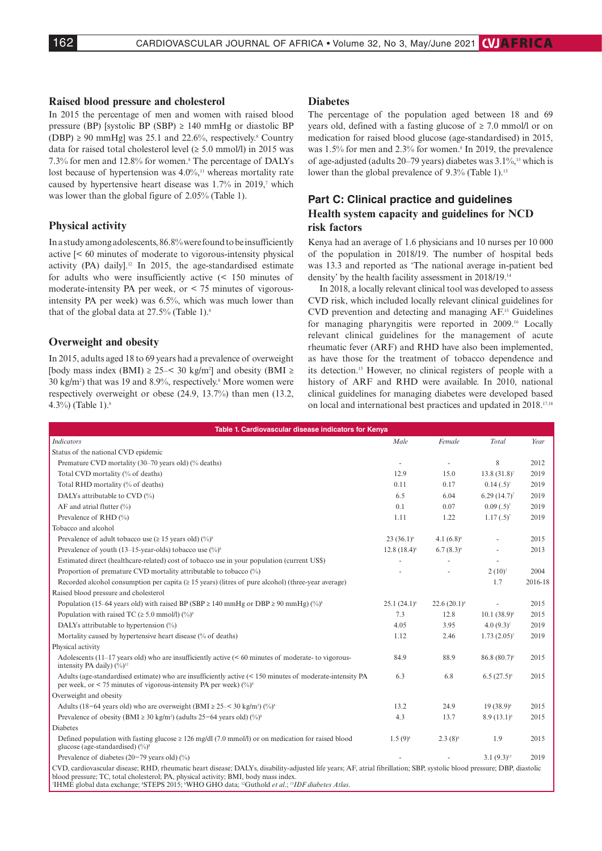#### **Raised blood pressure and cholesterol**

In 2015 the percentage of men and women with raised blood pressure (BP) [systolic BP (SBP)  $\geq$  140 mmHg or diastolic BP  $(DBP) \ge 90$  mmHg] was 25.1 and 22.6%, respectively.<sup>8</sup> Country data for raised total cholesterol level  $(≥ 5.0 mmol/l)$  in 2015 was 7.3% for men and 12.8% for women.<sup>8</sup> The percentage of DALYs lost because of hypertension was  $4.0\%$ ,<sup>11</sup> whereas mortality rate caused by hypertensive heart disease was 1.7% in 2019,<sup>7</sup> which was lower than the global figure of 2.05% (Table 1).

## **Physical activity**

In a study among adolescents, 86.8% were found to be insufficiently active [< 60 minutes of moderate to vigorous-intensity physical activity (PA) daily].12 In 2015, the age-standardised estimate for adults who were insufficiently active (< 150 minutes of moderate-intensity PA per week, or < 75 minutes of vigorousintensity PA per week) was 6.5%, which was much lower than that of the global data at  $27.5\%$  (Table 1).<sup>8</sup>

## **Overweight and obesity**

In 2015, adults aged 18 to 69 years had a prevalence of overweight [body mass index (BMI)  $\geq$  25–< 30 kg/m<sup>2</sup>] and obesity (BMI  $\geq$ 30 kg/m2 ) that was 19 and 8.9%, respectively.8 More women were respectively overweight or obese (24.9, 13.7%) than men (13.2, 4.3%) (Table 1).8

#### **Diabetes**

The percentage of the population aged between 18 and 69 years old, defined with a fasting glucose of  $\geq$  7.0 mmol/l or on medication for raised blood glucose (age-standardised) in 2015, was 1.5% for men and 2.3% for women.<sup>8</sup> In 2019, the prevalence of age-adjusted (adults 20–79 years) diabetes was 3.1%,13 which is lower than the global prevalence of 9.3% (Table 1).<sup>13</sup>

## **Part C: Clinical practice and guidelines Health system capacity and guidelines for NCD risk factors**

Kenya had an average of 1.6 physicians and 10 nurses per 10 000 of the population in 2018/19. The number of hospital beds was 13.3 and reported as 'The national average in-patient bed density' by the health facility assessment in 2018/19.14

In 2018, a locally relevant clinical tool was developed to assess CVD risk, which included locally relevant clinical guidelines for CVD prevention and detecting and managing AF.15 Guidelines for managing pharyngitis were reported in 2009.16 Locally relevant clinical guidelines for the management of acute rheumatic fever (ARF) and RHD have also been implemented, as have those for the treatment of tobacco dependence and its detection.15 However, no clinical registers of people with a history of ARF and RHD were available. In 2010, national clinical guidelines for managing diabetes were developed based on local and international best practices and updated in 2018.17,18

| Table 1. Cardiovascular disease indicators for Kenva                                                                                                                                                                                                                                                                                                                                                                          |                |                |                          |         |
|-------------------------------------------------------------------------------------------------------------------------------------------------------------------------------------------------------------------------------------------------------------------------------------------------------------------------------------------------------------------------------------------------------------------------------|----------------|----------------|--------------------------|---------|
| <b>Indicators</b>                                                                                                                                                                                                                                                                                                                                                                                                             | Male           | Female         | Total                    | Year    |
| Status of the national CVD epidemic                                                                                                                                                                                                                                                                                                                                                                                           |                |                |                          |         |
| Premature CVD mortality (30–70 years old) (% deaths)                                                                                                                                                                                                                                                                                                                                                                          | ÷,             |                | 8                        | 2012    |
| Total CVD mortality (% of deaths)                                                                                                                                                                                                                                                                                                                                                                                             | 12.9           | 15.0           | $13.8(31.8)^{7}$         | 2019    |
| Total RHD mortality (% of deaths)                                                                                                                                                                                                                                                                                                                                                                                             | 0.11           | 0.17           | $0.14(.5)^{7}$           | 2019    |
| DALYs attributable to CVD (%)                                                                                                                                                                                                                                                                                                                                                                                                 | 6.5            | 6.04           | 6.29 $(14.7)^7$          | 2019    |
| AF and atrial flutter $(\% )$                                                                                                                                                                                                                                                                                                                                                                                                 | 0.1            | 0.07           | $0.09(.5)^{7}$           | 2019    |
| Prevalence of RHD (%)                                                                                                                                                                                                                                                                                                                                                                                                         | 1.11           | 1.22           | $1.17(.5)^{7}$           | 2019    |
| Tobacco and alcohol                                                                                                                                                                                                                                                                                                                                                                                                           |                |                |                          |         |
| Prevalence of adult tobacco use ( $\geq$ 15 years old) (%) <sup>8</sup>                                                                                                                                                                                                                                                                                                                                                       | $23(36.1)^6$   | 4.1 $(6.8)^6$  |                          | 2015    |
| Prevalence of youth (13–15-year-olds) tobacco use $(\frac{9}{6})^8$                                                                                                                                                                                                                                                                                                                                                           | $12.8(18.4)^6$ | $6.7(8.3)^6$   | $\overline{a}$           | 2013    |
| Estimated direct (healthcare-related) cost of tobacco use in your population (current US\$)                                                                                                                                                                                                                                                                                                                                   |                |                | $\sim$                   |         |
| Proportion of premature CVD mortality attributable to tobacco (%)                                                                                                                                                                                                                                                                                                                                                             |                |                | $2(10)^7$                | 2004    |
| Recorded alcohol consumption per capita ( $\geq 15$ years) (litres of pure alcohol) (three-year average)                                                                                                                                                                                                                                                                                                                      |                |                | 1.7                      | 2016-18 |
| Raised blood pressure and cholesterol                                                                                                                                                                                                                                                                                                                                                                                         |                |                |                          |         |
| Population (15–64 years old) with raised BP (SBP $\geq$ 140 mmHg or DBP $\geq$ 90 mmHg) (%) <sup>8</sup>                                                                                                                                                                                                                                                                                                                      | $25.1(24.1)^6$ | $22.6(20.1)^6$ |                          | 2015    |
| Population with raised TC ( $\geq 5.0$ mmol/l) (%) <sup>8</sup>                                                                                                                                                                                                                                                                                                                                                               | 7.3            | 12.8           | $10.1 (38.9)^6$          | 2015    |
| DALYs attributable to hypertension (%)                                                                                                                                                                                                                                                                                                                                                                                        | 4.05           | 3.95           | $4.0(9.3)^{7}$           | 2019    |
| Mortality caused by hypertensive heart disease (% of deaths)                                                                                                                                                                                                                                                                                                                                                                  | 1.12           | 2.46           | $1.73(2.05)^{7}$         | 2019    |
| Physical activity                                                                                                                                                                                                                                                                                                                                                                                                             |                |                |                          |         |
| Adolescents $(11-17 \text{ years})$ old) who are insufficiently active $(< 60 \text{ minutes})$ of moderate-to vigorous-<br>intensity PA daily) $(\frac{9}{0})^{12}$                                                                                                                                                                                                                                                          | 84.9           | 88.9           | 86.8 (80.7) <sup>6</sup> | 2015    |
| Adults (age-standardised estimate) who are insufficiently active (< 150 minutes of moderate-intensity PA<br>per week, or < 75 minutes of vigorous-intensity PA per week) $(\%)^8$                                                                                                                                                                                                                                             | 6.3            | 6.8            | $6.5(27.5)^6$            | 2015    |
| Overweight and obesity                                                                                                                                                                                                                                                                                                                                                                                                        |                |                |                          |         |
| Adults (18-64 years old) who are overweight (BMI $\geq$ 25- $<$ 30 kg/m <sup>2</sup> ) (%) <sup>8</sup>                                                                                                                                                                                                                                                                                                                       | 13.2           | 24.9           | $19(38.9)^6$             | 2015    |
| Prevalence of obesity (BMI $\geq$ 30 kg/m <sup>2</sup> ) (adults 25–64 years old) (%) <sup>8</sup>                                                                                                                                                                                                                                                                                                                            | 4.3            | 13.7           | $8.9(13.1)^6$            | 2015    |
| Diabetes                                                                                                                                                                                                                                                                                                                                                                                                                      |                |                |                          |         |
| Defined population with fasting glucose $\geq 126$ mg/dl (7.0 mmol/l) or on medication for raised blood<br>glucose (age-standardised) $(\frac{9}{0})^8$                                                                                                                                                                                                                                                                       | $1.5(9)^6$     | $2.3(8)^6$     | 1.9                      | 2015    |
| Prevalence of diabetes $(20-79 \text{ years old})$ (%)                                                                                                                                                                                                                                                                                                                                                                        |                |                | $3.1(9.3)^{13}$          | 2019    |
| CVD, cardiovascular disease; RHD, rheumatic heart disease; DALYs, disability-adjusted life years; AF, atrial fibrillation; SBP, systolic blood pressure; DBP, diastolic<br>blood pressure; TC, total cholesterol; PA, physical activity; BMI, body mass index.<br><sup>7</sup> IHME global data exchange; <sup>8</sup> STEPS 2015; <sup>6</sup> WHO GHO data; <sup>12</sup> Guthold et al.; <sup>13</sup> IDF diabetes Atlas. |                |                |                          |         |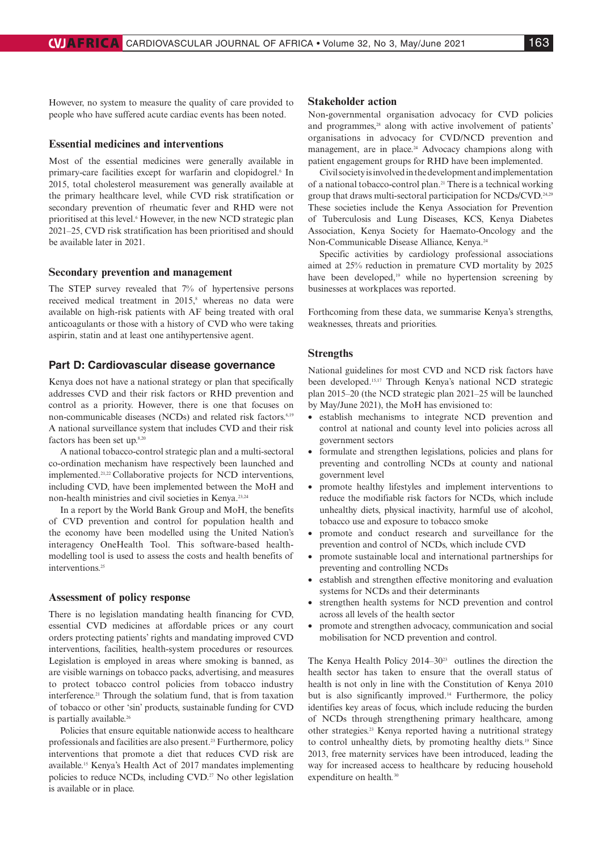However, no system to measure the quality of care provided to people who have suffered acute cardiac events has been noted.

#### **Essential medicines and interventions**

Most of the essential medicines were generally available in primary-care facilities except for warfarin and clopidogrel.<sup>6</sup> In 2015, total cholesterol measurement was generally available at the primary healthcare level, while CVD risk stratification or secondary prevention of rheumatic fever and RHD were not prioritised at this level.<sup>6</sup> However, in the new NCD strategic plan 2021–25, CVD risk stratification has been prioritised and should be available later in 2021.

#### **Secondary prevention and management**

The STEP survey revealed that 7% of hypertensive persons received medical treatment in 2015,<sup>8</sup> whereas no data were available on high-risk patients with AF being treated with oral anticoagulants or those with a history of CVD who were taking aspirin, statin and at least one antihypertensive agent.

#### **Part D: Cardiovascular disease governance**

Kenya does not have a national strategy or plan that specifically addresses CVD and their risk factors or RHD prevention and control as a priority. However, there is one that focuses on non-communicable diseases (NCDs) and related risk factors.<sup>6,19</sup> A national surveillance system that includes CVD and their risk factors has been set up.<sup>8,20</sup>

A national tobacco-control strategic plan and a multi-sectoral co-ordination mechanism have respectively been launched and implemented.21,22 Collaborative projects for NCD interventions, including CVD, have been implemented between the MoH and non-health ministries and civil societies in Kenya.23,24

In a report by the World Bank Group and MoH, the benefits of CVD prevention and control for population health and the economy have been modelled using the United Nation's interagency OneHealth Tool. This software-based healthmodelling tool is used to assess the costs and health benefits of interventions.<sup>25</sup>

#### **Assessment of policy response**

There is no legislation mandating health financing for CVD, essential CVD medicines at affordable prices or any court orders protecting patients' rights and mandating improved CVD interventions, facilities, health-system procedures or resources. Legislation is employed in areas where smoking is banned, as are visible warnings on tobacco packs, advertising, and measures to protect tobacco control policies from tobacco industry interference.21 Through the solatium fund, that is from taxation of tobacco or other 'sin' products, sustainable funding for CVD is partially available.<sup>26</sup>

Policies that ensure equitable nationwide access to healthcare professionals and facilities are also present.23 Furthermore, policy interventions that promote a diet that reduces CVD risk are available.15 Kenya's Health Act of 2017 mandates implementing policies to reduce NCDs, including CVD.<sup>27</sup> No other legislation is available or in place.

#### **Stakeholder action**

Non-governmental organisation advocacy for CVD policies and programmes,<sup>28</sup> along with active involvement of patients' organisations in advocacy for CVD/NCD prevention and management, are in place.<sup>24</sup> Advocacy champions along with patient engagement groups for RHD have been implemented.

Civil society is involved in the development and implementation of a national tobacco-control plan.21 There is a technical working group that draws multi-sectoral participation for NCDs/CVD.24,29 These societies include the Kenya Association for Prevention of Tuberculosis and Lung Diseases, KCS, Kenya Diabetes Association, Kenya Society for Haemato-Oncology and the Non-Communicable Disease Alliance, Kenya.24

Specific activities by cardiology professional associations aimed at 25% reduction in premature CVD mortality by 2025 have been developed,<sup>19</sup> while no hypertension screening by businesses at workplaces was reported.

Forthcoming from these data, we summarise Kenya's strengths, weaknesses, threats and priorities.

#### **Strengths**

National guidelines for most CVD and NCD risk factors have been developed.15,17 Through Kenya's national NCD strategic plan 2015–20 (the NCD strategic plan 2021–25 will be launched by May/June 2021), the MoH has envisioned to:

- establish mechanisms to integrate NCD prevention and control at national and county level into policies across all government sectors
- formulate and strengthen legislations, policies and plans for preventing and controlling NCDs at county and national government level
- promote healthy lifestyles and implement interventions to reduce the modifiable risk factors for NCDs, which include unhealthy diets, physical inactivity, harmful use of alcohol, tobacco use and exposure to tobacco smoke
- promote and conduct research and surveillance for the prevention and control of NCDs, which include CVD
- promote sustainable local and international partnerships for preventing and controlling NCDs
- establish and strengthen effective monitoring and evaluation systems for NCDs and their determinants
- strengthen health systems for NCD prevention and control across all levels of the health sector
- promote and strengthen advocacy, communication and social mobilisation for NCD prevention and control.

The Kenya Health Policy  $2014-30<sup>23</sup>$  outlines the direction the health sector has taken to ensure that the overall status of health is not only in line with the Constitution of Kenya 2010 but is also significantly improved.<sup>14</sup> Furthermore, the policy identifies key areas of focus, which include reducing the burden of NCDs through strengthening primary healthcare, among other strategies.23 Kenya reported having a nutritional strategy to control unhealthy diets, by promoting healthy diets.19 Since 2013, free maternity services have been introduced, leading the way for increased access to healthcare by reducing household expenditure on health*.* 30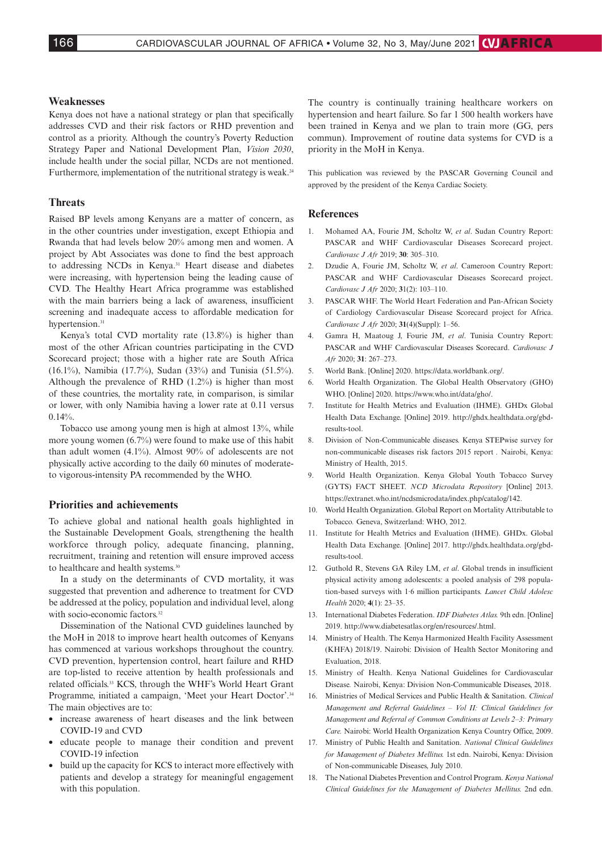#### **Weaknesses**

Kenya does not have a national strategy or plan that specifically addresses CVD and their risk factors or RHD prevention and control as a priority. Although the country's Poverty Reduction Strategy Paper and National Development Plan, *Vision 2030*, include health under the social pillar, NCDs are not mentioned. Furthermore, implementation of the nutritional strategy is weak.<sup>24</sup>

#### **Threats**

Raised BP levels among Kenyans are a matter of concern, as in the other countries under investigation, except Ethiopia and Rwanda that had levels below 20% among men and women. A project by Abt Associates was done to find the best approach to addressing NCDs in Kenya.<sup>31</sup> Heart disease and diabetes were increasing, with hypertension being the leading cause of CVD. The Healthy Heart Africa programme was established with the main barriers being a lack of awareness, insufficient screening and inadequate access to affordable medication for hypertension.<sup>31</sup>

Kenya's total CVD mortality rate (13.8%) is higher than most of the other African countries participating in the CVD Scorecard project; those with a higher rate are South Africa (16.1%), Namibia (17.7%), Sudan (33%) and Tunisia (51.5%). Although the prevalence of RHD (1.2%) is higher than most of these countries, the mortality rate, in comparison, is similar or lower, with only Namibia having a lower rate at 0.11 versus  $0.14\%$ .

Tobacco use among young men is high at almost 13%, while more young women (6.7%) were found to make use of this habit than adult women (4.1%). Almost 90% of adolescents are not physically active according to the daily 60 minutes of moderateto vigorous-intensity PA recommended by the WHO.

## **Priorities and achievements**

To achieve global and national health goals highlighted in the Sustainable Development Goals, strengthening the health workforce through policy, adequate financing, planning, recruitment, training and retention will ensure improved access to healthcare and health systems.<sup>30</sup>

In a study on the determinants of CVD mortality, it was suggested that prevention and adherence to treatment for CVD be addressed at the policy, population and individual level, along with socio-economic factors.<sup>32</sup>

Dissemination of the National CVD guidelines launched by the MoH in 2018 to improve heart health outcomes of Kenyans has commenced at various workshops throughout the country. CVD prevention, hypertension control, heart failure and RHD are top-listed to receive attention by health professionals and related officials.33 KCS, through the WHF's World Heart Grant Programme, initiated a campaign, 'Meet your Heart Doctor'.34 The main objectives are to:

- increase awareness of heart diseases and the link between COVID-19 and CVD
- educate people to manage their condition and prevent COVID-19 infection
- build up the capacity for KCS to interact more effectively with patients and develop a strategy for meaningful engagement with this population.

The country is continually training healthcare workers on hypertension and heart failure. So far 1 500 health workers have been trained in Kenya and we plan to train more (GG, pers commun). Improvement of routine data systems for CVD is a priority in the MoH in Kenya.

This publication was reviewed by the PASCAR Governing Council and approved by the president of the Kenya Cardiac Society.

#### **References**

- 1. Mohamed AA, Fourie JM, Scholtz W, *et al*. Sudan Country Report: PASCAR and WHF Cardiovascular Diseases Scorecard project. *Cardiovasc J Afr* 2019; **30**: 305–310.
- 2. Dzudie A, Fourie JM, Scholtz W, *et al*. Cameroon Country Report: PASCAR and WHF Cardiovascular Diseases Scorecard project. *Cardiovasc J Afr* 2020; **3**1(2): 103–110.
- 3. PASCAR WHF. The World Heart Federation and Pan-African Society of Cardiology Cardiovascular Disease Scorecard project for Africa. *Cardiovasc J Afr* 2020; **31**(4)(Suppl): 1–56.
- 4. Gamra H, Maatoug J, Fourie JM, *et al*. Tunisia Country Report: PASCAR and WHF Cardiovascular Diseases Scorecard. *Cardiovasc J Afr* 2020; **31**: 267–273.
- 5. World Bank. [Online] 2020. [https://data.worldbank.org/.](https://data.worldbank.org/)
- 6. World Health Organization. The Global Health Observatory (GHO) WHO. [Online] 2020. [https://www.who.int/data/gho/.](https://www.who.int/data/gho/)
- 7. Institute for Health Metrics and Evaluation (IHME). GHDx Global Health Data Exchange. [Online] 2019. [http://ghdx.healthdata.org/gbd](http://ghdx.healthdata.org/gbd-)results-tool.
- 8. Division of Non-Communicable diseases. Kenya STEPwise survey for non-communicable diseases risk factors 2015 report *.* Nairobi, Kenya: Ministry of Health, 2015.
- 9. World Health Organization. Kenya Global Youth Tobacco Survey (GYTS) FACT SHEET. *NCD Microdata Repository* [Online] 2013. [https://extranet.who.int/ncdsmicrodata/index.php/catalog/142.](https://extranet.who.int/ncdsmicrodata/index.php/catalog/142)
- 10. World Health Organization. Global Report on Mortality Attributable to Tobacco*.* Geneva, Switzerland: WHO, 2012.
- 11. Institute for Health Metrics and Evaluation (IHME). GHDx. Global Health Data Exchange*.* [Online] 2017. [http://ghdx.healthdata.org/gbd](http://ghdx.healthdata.org/gbd-)results-tool.
- 12. Guthold R, Stevens GA Riley LM, *et al*. Global trends in insufficient physical activity among adolescents: a pooled analysis of 298 population-based surveys with 1·6 million participants. *Lancet Child Adolesc Health* 2020; **4**(1): 23–35.
- 13. International Diabetes Federation. *IDF Diabetes Atlas.* 9th edn. [Online] 2019. [http://www.diabetesatlas.org/en/resources/.html.](http://www.diabetesatlas.org/en/resources/.html)
- 14. Ministry of Health. The Kenya Harmonized Health Facility Assessment (KHFA) 2018/19. Nairobi: Division of Health Sector Monitoring and Evaluation, 2018.
- 15. Ministry of Health. Kenya National Guidelines for Cardiovascular Disease*.* Nairobi, Kenya: Division Non-Communicable Diseases, 2018.
- 16. Ministries of Medical Services and Public Health & Sanitation. *Clinical Management and Referral Guidelines – Vol II: Clinical Guidelines for Management and Referral of Common Conditions at Levels 2–3: Primary Care.* Nairobi: World Health Organization Kenya Country Office, 2009.
- 17. Ministry of Public Health and Sanitation. *National Clinical Guidelines for Management of Diabetes Mellitus.* 1st edn. Nairobi, Kenya: Division of Non-communicable Diseases, July 2010.
- 18. The National Diabetes Prevention and Control Program. *Kenya National Clinical Guidelines for the Management of Diabetes Mellitus.* 2nd edn.